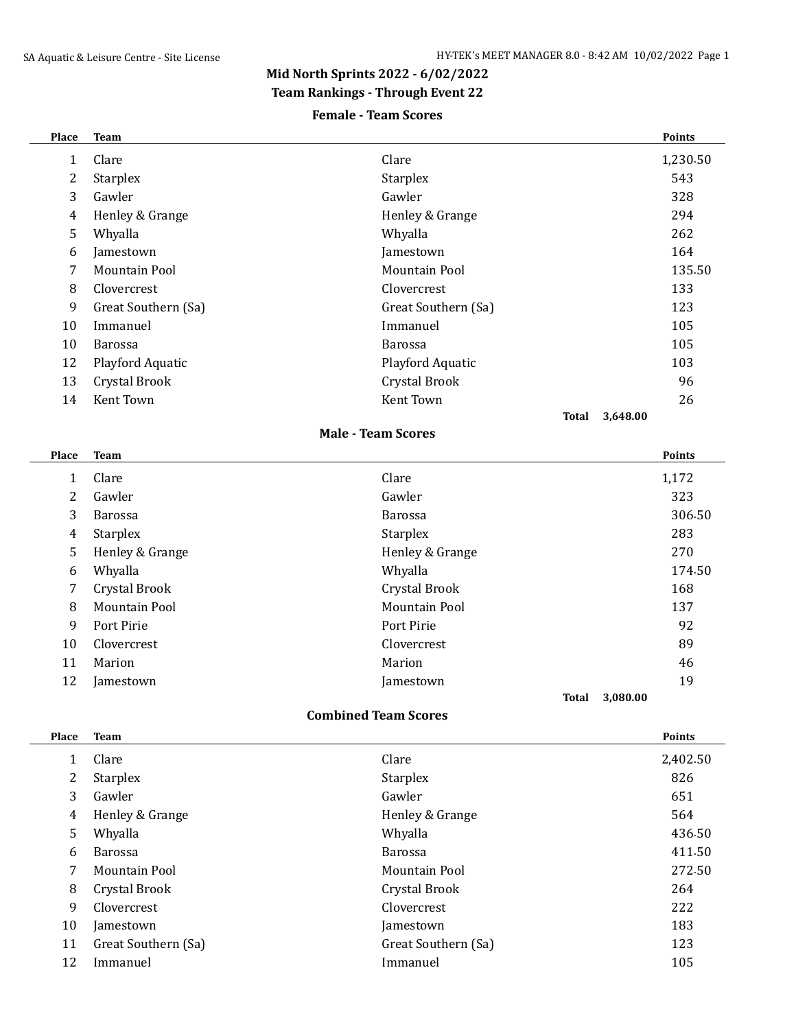## **Mid North Sprints 2022 - 6/02/2022**

### **Team Rankings - Through Event 22**

#### **Female - Team Scores**

| Place        | <b>Team</b>          |                             |              |          | <b>Points</b> |
|--------------|----------------------|-----------------------------|--------------|----------|---------------|
| $\mathbf{1}$ | Clare                | Clare                       |              |          | 1,230.50      |
| 2            | <b>Starplex</b>      | Starplex                    |              |          | 543           |
| 3            | Gawler               | Gawler                      |              |          | 328           |
| 4            | Henley & Grange      | Henley & Grange             |              |          | 294           |
| 5            | Whyalla              | Whyalla                     |              |          | 262           |
| 6            | Jamestown            | Jamestown                   |              |          | 164           |
| 7            | Mountain Pool        | Mountain Pool               |              |          | 135.50        |
| 8            | Clovercrest          | Clovercrest                 |              |          | 133           |
| 9            | Great Southern (Sa)  | Great Southern (Sa)         |              |          | 123           |
| 10           | Immanuel             | Immanuel                    |              |          | 105           |
| 10           | <b>Barossa</b>       | <b>Barossa</b>              |              |          | 105           |
| 12           | Playford Aquatic     | Playford Aquatic            |              |          | 103           |
| 13           | Crystal Brook        | <b>Crystal Brook</b>        |              |          | 96            |
| 14           | Kent Town            | Kent Town                   |              |          | 26            |
|              |                      |                             | <b>Total</b> | 3,648.00 |               |
|              |                      | <b>Male - Team Scores</b>   |              |          |               |
| Place        | <b>Team</b>          |                             |              |          | <b>Points</b> |
| $\mathbf{1}$ | Clare                | Clare                       |              |          | 1,172         |
| 2            | Gawler               | Gawler                      |              |          | 323           |
| 3            | Barossa              | Barossa                     |              |          | 306.50        |
| 4            | Starplex             | Starplex                    |              |          | 283           |
| 5            | Henley & Grange      | Henley & Grange             |              |          | 270           |
| 6            | Whyalla              | Whyalla                     |              |          | 174.50        |
| 7            | Crystal Brook        | Crystal Brook               |              |          | 168           |
| 8            | <b>Mountain Pool</b> | <b>Mountain Pool</b>        |              |          | 137           |
| 9            |                      |                             |              |          |               |
|              | Port Pirie           | Port Pirie                  |              |          | 92            |
| 10           | Clovercrest          | Clovercrest                 |              |          | 89            |
| 11           | Marion               | Marion                      |              |          | 46            |
| 12           | Jamestown            | Jamestown                   |              |          | 19            |
|              |                      |                             | Total        | 3,080.00 |               |
|              |                      | <b>Combined Team Scores</b> |              |          |               |

|    | Clare               | Clare               | 2,402.50 |
|----|---------------------|---------------------|----------|
| 2  | <b>Starplex</b>     | Starplex            | 826      |
| 3  | Gawler              | Gawler              | 651      |
| 4  | Henley & Grange     | Henley & Grange     | 564      |
| 5  | Whyalla             | Whyalla             | 436.50   |
| 6  | <b>Barossa</b>      | <b>Barossa</b>      | 411.50   |
| 7  | Mountain Pool       | Mountain Pool       | 272.50   |
| 8  | Crystal Brook       | Crystal Brook       | 264      |
| 9  | Clovercrest         | Clovercrest         | 222      |
| 10 | Jamestown           | Jamestown           | 183      |
| 11 | Great Southern (Sa) | Great Southern (Sa) | 123      |
| 12 | Immanuel            | Immanuel            | 105      |